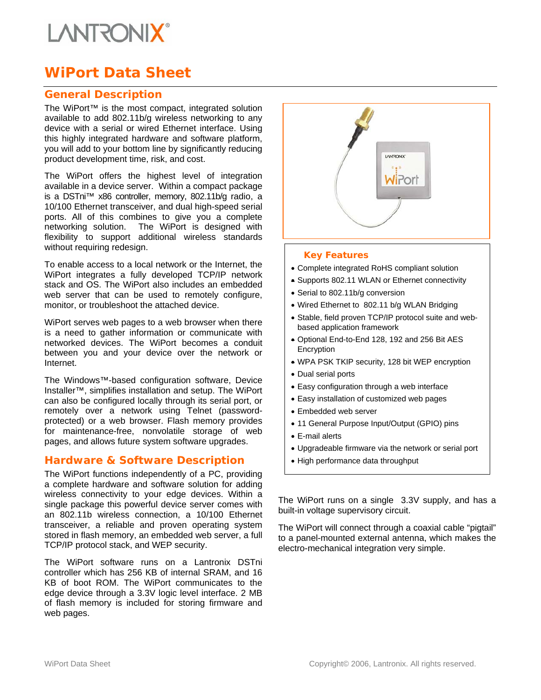# **I ANTRONIX**

# **WiPort Data Sheet**

### **General Description**

The WiPort™ is the most compact, integrated solution available to add 802.11b/g wireless networking to any device with a serial or wired Ethernet interface. Using this highly integrated hardware and software platform, you will add to your bottom line by significantly reducing product development time, risk, and cost.

The WiPort offers the highest level of integration available in a device server. Within a compact package is a DSTni™ x86 controller, memory, 802.11b/g radio, a 10/100 Ethernet transceiver, and dual high-speed serial ports. All of this combines to give you a complete networking solution. The WiPort is designed with flexibility to support additional wireless standards without requiring redesign.

To enable access to a local network or the Internet, the WiPort integrates a fully developed TCP/IP network stack and OS. The WiPort also includes an embedded web server that can be used to remotely configure, monitor, or troubleshoot the attached device.

WiPort serves web pages to a web browser when there is a need to gather information or communicate with networked devices. The WiPort becomes a conduit between you and your device over the network or Internet.

The Windows™-based configuration software, Device Installer™, simplifies installation and setup. The WiPort can also be configured locally through its serial port, or remotely over a network using Telnet (passwordprotected) or a web browser. Flash memory provides for maintenance-free, nonvolatile storage of web pages, and allows future system software upgrades.

## **Hardware & Software Description**

The WiPort functions independently of a PC, providing a complete hardware and software solution for adding wireless connectivity to your edge devices. Within a single package this powerful device server comes with an 802.11b wireless connection, a 10/100 Ethernet transceiver, a reliable and proven operating system stored in flash memory, an embedded web server, a full TCP/IP protocol stack, and WEP security.

The WiPort software runs on a Lantronix DSTni controller which has 256 KB of internal SRAM, and 16 KB of boot ROM. The WiPort communicates to the edge device through a 3.3V logic level interface. 2 MB of flash memory is included for storing firmware and web pages.



#### *Key Features*

- Complete integrated RoHS compliant solution
- Supports 802.11 WLAN or Ethernet connectivity
- Serial to 802.11b/g conversion
- Wired Ethernet to 802.11 b/g WLAN Bridging
- Stable, field proven TCP/IP protocol suite and webbased application framework
- Optional End-to-End 128, 192 and 256 Bit AES Encryption
- WPA PSK TKIP security, 128 bit WEP encryption
- Dual serial ports
- Easy configuration through a web interface
- Easy installation of customized web pages
- Embedded web server
- 11 General Purpose Input/Output (GPIO) pins
- E-mail alerts
- Upgradeable firmware via the network or serial port
- High performance data throughput

The WiPort runs on a single 3.3V supply, and has a built-in voltage supervisory circuit.

The WiPort will connect through a coaxial cable "pigtail" to a panel-mounted external antenna, which makes the electro-mechanical integration very simple.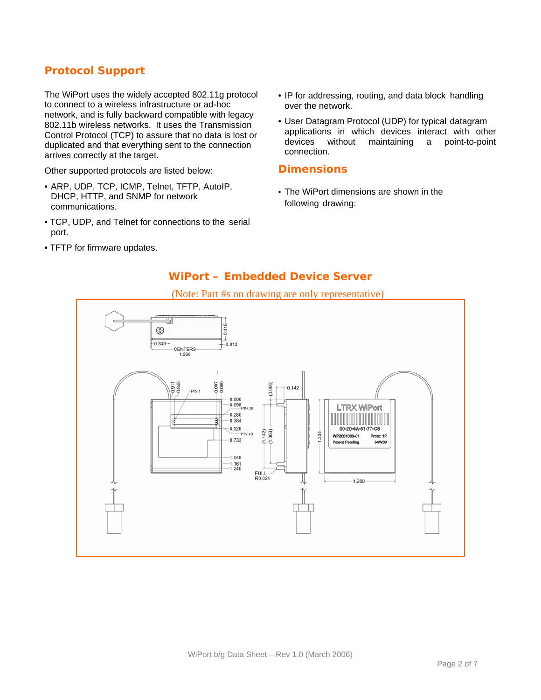## **Protocol Support**

The WiPort uses the widely accepted 802.11g protocol to connect to a wireless infrastructure or ad-hoc network, and is fully backward compatible with legacy 802.11b wireless networks. It uses the Transmission Control Protocol (TCP) to assure that no data is lost or duplicated and that everything sent to the connection arrives correctly at the target.

Other supported protocols are listed below:

- ARP, UDP, TCP, ICMP, Telnet, TFTP, AutoIP, DHCP, HTTP, and SNMP for network communications.
- TCP, UDP, and Telnet for connections to the serial port.
- TFTP for firmware updates.
- IP for addressing, routing, and data block handling over the network.
- User Datagram Protocol (UDP) for typical datagram applications in which devices interact with other<br>devices without maintaining a point-to-point devices without maintaining a connection.

#### **Dimensions**

• The WiPort dimensions are shown in the following drawing:

## **WiPort – Embedded Device Server**



### (Note: Part #s on drawing are only representative)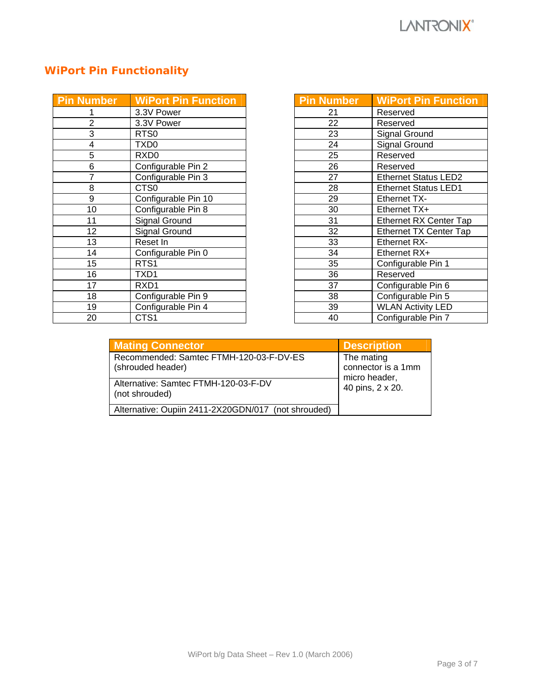# **WiPort Pin Functionality**

| <b>Pin Number</b> | <b>WiPort Pin Function</b> |
|-------------------|----------------------------|
|                   | 3.3V Power                 |
| 2                 | 3.3V Power                 |
| 3                 | RTS <sub>0</sub>           |
| 4                 | TXD0                       |
| 5                 | RXD <sub>0</sub>           |
| 6                 | Configurable Pin 2         |
| 7                 | Configurable Pin 3         |
| 8                 | CTS0                       |
| 9                 | Configurable Pin 10        |
| 10                | Configurable Pin 8         |
| 11                | <b>Signal Ground</b>       |
| 12                | Signal Ground              |
| 13                | Reset In                   |
| 14                | Configurable Pin 0         |
| 15                | RTS <sub>1</sub>           |
| 16                | TXD1                       |
| 17                | RXD1                       |
| 18                | Configurable Pin 9         |
| 19                | Configurable Pin 4         |
| 20                | CTS1                       |

| <b>Pin Number</b> | <b>WiPort Pin Function</b>    |
|-------------------|-------------------------------|
| 21                | Reserved                      |
| 22                | Reserved                      |
| 23                | Signal Ground                 |
| 24                | <b>Signal Ground</b>          |
| 25                | Reserved                      |
| 26                | Reserved                      |
| 27                | <b>Ethernet Status LED2</b>   |
| 28                | <b>Ethernet Status LED1</b>   |
| 29                | Ethernet TX-                  |
| 30                | Ethernet TX+                  |
| 31                | <b>Ethernet RX Center Tap</b> |
| 32                | <b>Ethernet TX Center Tap</b> |
| 33                | <b>Ethernet RX-</b>           |
| 34                | Ethernet RX+                  |
| 35                | Configurable Pin 1            |
| 36                | Reserved                      |
| 37                | Configurable Pin 6            |
| 38                | Configurable Pin 5            |
| 39                | <b>WLAN Activity LED</b>      |
| 40                | Configurable Pin 7            |

| <b>Mating Connector</b>                                      | <b>Description</b>                                |  |
|--------------------------------------------------------------|---------------------------------------------------|--|
| Recommended: Samtec FTMH-120-03-F-DV-ES<br>(shrouded header) | The mating<br>connector is a 1mm<br>micro header, |  |
| Alternative: Samtec FTMH-120-03-F-DV<br>(not shrouded)       | 40 pins, 2 x 20.                                  |  |
| Alternative: Oupiin 2411-2X20GDN/017 (not shrouded)          |                                                   |  |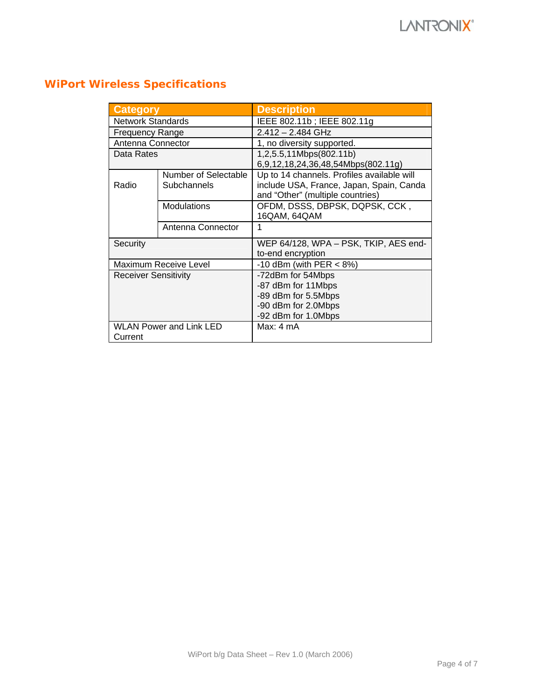# **WiPort Wireless Specifications**

| <b>Category</b>                |                       | <b>Description</b>                         |  |  |
|--------------------------------|-----------------------|--------------------------------------------|--|--|
| <b>Network Standards</b>       |                       | IEEE 802.11b; IEEE 802.11g                 |  |  |
| <b>Frequency Range</b>         |                       | $2.412 - 2.484$ GHz                        |  |  |
| Antenna Connector              |                       | 1, no diversity supported.                 |  |  |
| Data Rates                     |                       | 1,2,5.5,11Mbps(802.11b)                    |  |  |
|                                |                       | 6,9,12,18,24,36,48,54Mbps(802.11g)         |  |  |
|                                | Number of Selectable  | Up to 14 channels. Profiles available will |  |  |
| Radio                          | Subchannels           | include USA, France, Japan, Spain, Canda   |  |  |
|                                |                       | and "Other" (multiple countries)           |  |  |
|                                | Modulations           | OFDM, DSSS, DBPSK, DQPSK, CCK,             |  |  |
|                                |                       | 16QAM, 64QAM                               |  |  |
|                                | Antenna Connector     | 1                                          |  |  |
| Security                       |                       | WEP 64/128, WPA - PSK, TKIP, AES end-      |  |  |
|                                |                       | to-end encryption                          |  |  |
|                                | Maximum Receive Level | -10 dBm (with PER $<$ 8%)                  |  |  |
| <b>Receiver Sensitivity</b>    |                       | -72dBm for 54Mbps                          |  |  |
|                                |                       | -87 dBm for 11Mbps                         |  |  |
|                                |                       | -89 dBm for 5.5Mbps                        |  |  |
|                                |                       | -90 dBm for 2.0Mbps                        |  |  |
|                                |                       | -92 dBm for 1.0Mbps                        |  |  |
| <b>WLAN Power and Link LED</b> |                       | Max: 4 mA                                  |  |  |
| Current                        |                       |                                            |  |  |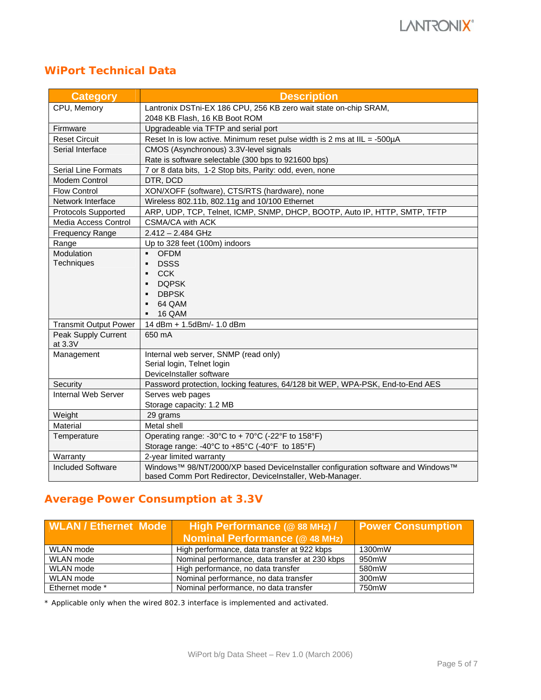## **WiPort Technical Data**

| <b>Category</b>              | <b>Description</b>                                                               |  |  |
|------------------------------|----------------------------------------------------------------------------------|--|--|
| CPU, Memory                  | Lantronix DSTni-EX 186 CPU, 256 KB zero wait state on-chip SRAM,                 |  |  |
|                              | 2048 KB Flash, 16 KB Boot ROM                                                    |  |  |
| Firmware                     | Upgradeable via TFTP and serial port                                             |  |  |
| <b>Reset Circuit</b>         | Reset In is low active. Minimum reset pulse width is 2 ms at IIL = -500µA        |  |  |
| Serial Interface             | CMOS (Asynchronous) 3.3V-level signals                                           |  |  |
|                              | Rate is software selectable (300 bps to 921600 bps)                              |  |  |
| <b>Serial Line Formats</b>   | 7 or 8 data bits, 1-2 Stop bits, Parity: odd, even, none                         |  |  |
| Modem Control                | DTR, DCD                                                                         |  |  |
| <b>Flow Control</b>          | XON/XOFF (software), CTS/RTS (hardware), none                                    |  |  |
| Network Interface            | Wireless 802.11b, 802.11g and 10/100 Ethernet                                    |  |  |
| Protocols Supported          | ARP, UDP, TCP, Telnet, ICMP, SNMP, DHCP, BOOTP, Auto IP, HTTP, SMTP, TFTP        |  |  |
| Media Access Control         | CSMA/CA with ACK                                                                 |  |  |
| Frequency Range              | $2.412 - 2.484$ GHz                                                              |  |  |
| Range                        | Up to 328 feet (100m) indoors                                                    |  |  |
| Modulation                   | <b>OFDM</b><br>$\blacksquare$                                                    |  |  |
| Techniques                   | <b>DSSS</b><br>$\blacksquare$                                                    |  |  |
|                              | <b>CCK</b><br>$\blacksquare$                                                     |  |  |
|                              | <b>DOPSK</b><br>$\blacksquare$                                                   |  |  |
|                              | <b>DBPSK</b><br>$\blacksquare$                                                   |  |  |
|                              | 64 QAM<br>$\blacksquare$                                                         |  |  |
|                              | 16 QAM                                                                           |  |  |
| <b>Transmit Output Power</b> | 14 dBm + 1.5dBm/- 1.0 dBm                                                        |  |  |
| Peak Supply Current          | 650 mA                                                                           |  |  |
| at 3.3V                      |                                                                                  |  |  |
| Management                   | Internal web server, SNMP (read only)                                            |  |  |
|                              | Serial login, Telnet login                                                       |  |  |
|                              | DeviceInstaller software                                                         |  |  |
| Security                     | Password protection, locking features, 64/128 bit WEP, WPA-PSK, End-to-End AES   |  |  |
| Internal Web Server          | Serves web pages                                                                 |  |  |
|                              | Storage capacity: 1.2 MB                                                         |  |  |
| Weight                       | 29 grams                                                                         |  |  |
| Material                     | Metal shell                                                                      |  |  |
| Temperature                  | Operating range: -30°C to + 70°C (-22°F to 158°F)                                |  |  |
|                              | Storage range: -40°C to +85°C (-40°F to 185°F)                                   |  |  |
| Warranty                     | 2-year limited warranty                                                          |  |  |
| <b>Included Software</b>     | Windows™ 98/NT/2000/XP based DeviceInstaller configuration software and Windows™ |  |  |
|                              | based Comm Port Redirector, DeviceInstaller, Web-Manager.                        |  |  |

## **Average Power Consumption at 3.3V**

| <b>WLAN / Ethernet Mode</b> | High Performance (@ 88 MHz) /                  | <b>Power Consumption</b> |  |
|-----------------------------|------------------------------------------------|--------------------------|--|
|                             | <b>Nominal Performance (@48 MHz)</b>           |                          |  |
| WLAN mode                   | High performance, data transfer at 922 kbps    | 1300mW                   |  |
| WLAN mode                   | Nominal performance, data transfer at 230 kbps | 950mW                    |  |
| WLAN mode                   | High performance, no data transfer             | 580mW                    |  |
| WLAN mode                   | Nominal performance, no data transfer          | 300mW                    |  |
| Ethernet mode *             | Nominal performance, no data transfer          | 750mW                    |  |

\* Applicable only when the wired 802.3 interface is implemented and activated.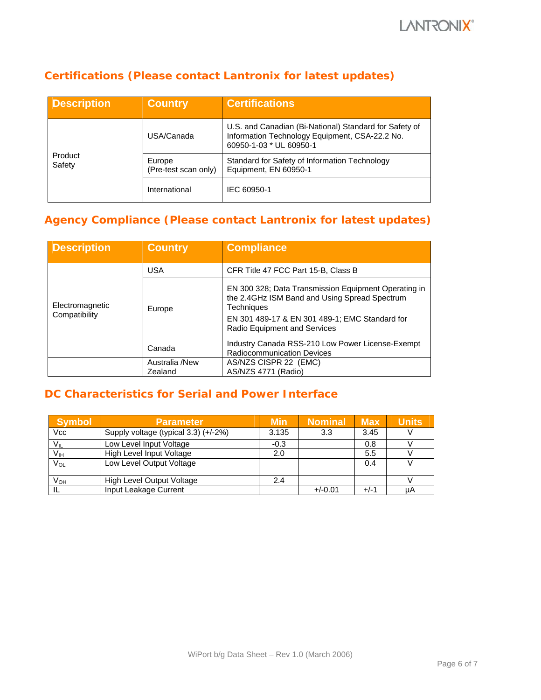## **Certifications (Please contact Lantronix for latest updates)**

| <b>Description</b> | <b>Country</b>                 | <b>Certifications</b>                                                                                                               |
|--------------------|--------------------------------|-------------------------------------------------------------------------------------------------------------------------------------|
| Product<br>Safety  | USA/Canada                     | U.S. and Canadian (Bi-National) Standard for Safety of<br>Information Technology Equipment, CSA-22.2 No.<br>60950-1-03 * UL 60950-1 |
|                    | Europe<br>(Pre-test scan only) | Standard for Safety of Information Technology<br>Equipment, EN 60950-1                                                              |
|                    | International                  | IEC 60950-1                                                                                                                         |

## **Agency Compliance (Please contact Lantronix for latest updates)**

| <b>Description</b> | <b>Country</b>            | <b>Compliance</b>                                                                                                   |
|--------------------|---------------------------|---------------------------------------------------------------------------------------------------------------------|
| Electromagnetic    | <b>USA</b>                | CFR Title 47 FCC Part 15-B, Class B                                                                                 |
|                    | Europe                    | EN 300 328; Data Transmission Equipment Operating in<br>the 2.4GHz ISM Band and Using Spread Spectrum<br>Techniques |
| Compatibility      |                           | EN 301 489-17 & EN 301 489-1; EMC Standard for<br>Radio Equipment and Services                                      |
|                    | Canada                    | Industry Canada RSS-210 Low Power License-Exempt<br><b>Radiocommunication Devices</b>                               |
|                    | Australia /New<br>Zealand | AS/NZS CISPR 22 (EMC)<br>AS/NZS 4771 (Radio)                                                                        |

## **DC Characteristics for Serial and Power Interface**

| <b>Symbol</b>   | <b>Parameter</b>                     | <b>Min</b> | <b>Nominal</b> | <b>Max</b> | <b>Units</b> |
|-----------------|--------------------------------------|------------|----------------|------------|--------------|
| Vcc             | Supply voltage (typical 3.3) (+/-2%) | 3.135      | 3.3            | 3.45       |              |
| $V_{IL}$        | Low Level Input Voltage              | $-0.3$     |                | 0.8        |              |
| V <sub>IH</sub> | High Level Input Voltage             | 2.0        |                | 5.5        |              |
| $V_{OL}$        | Low Level Output Voltage             |            |                | 0.4        |              |
| $V_{OH}$        | High Level Output Voltage            | 2.4        |                |            |              |
|                 | Input Leakage Current                |            | $+/-0.01$      | $+/-1$     | μA           |